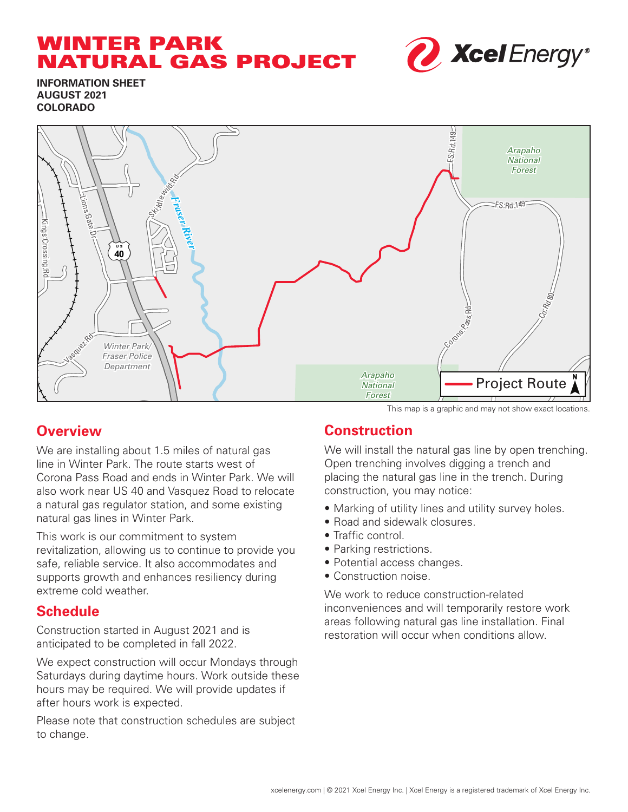# WINTER PARK NATURAL GAS PROJECT



**INFORMATION SHEET AUGUST 2021 COLORADO**



## **Overview**

We are installing about 1.5 miles of natural gas line in Winter Park. The route starts west of Corona Pass Road and ends in Winter Park. We will also work near US 40 and Vasquez Road to relocate a natural gas regulator station, and some existing natural gas lines in Winter Park.

This work is our commitment to system revitalization, allowing us to continue to provide you safe, reliable service. It also accommodates and supports growth and enhances resiliency during extreme cold weather.

### **Schedule**

Construction started in August 2021 and is anticipated to be completed in fall 2022.

We expect construction will occur Mondays through Saturdays during daytime hours. Work outside these hours may be required. We will provide updates if after hours work is expected.

Please note that construction schedules are subject to change.

#### This map is a graphic and may not show exact locations.

## **Construction**

We will install the natural gas line by open trenching. Open trenching involves digging a trench and placing the natural gas line in the trench. During construction, you may notice:

- Marking of utility lines and utility survey holes.
- Road and sidewalk closures.
- Traffic control.
- Parking restrictions.
- Potential access changes.
- Construction noise.

We work to reduce construction-related inconveniences and will temporarily restore work areas following natural gas line installation. Final restoration will occur when conditions allow.